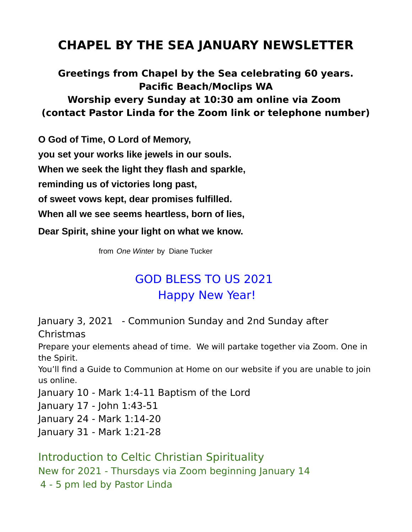# **CHAPEL BY THE SEA JANUARY NEWSLETTER**

### **Greetings from Chapel by the Sea celebrating 60 years. Pacific Beach/Moclips WA Worship every Sunday at 10:30 am online via Zoom (contact Pastor Linda for the Zoom link or telephone number)**

**O God of Time, O Lord of Memory, you set your works like jewels in our souls. When we seek the light they flash and sparkle, reminding us of victories long past, of sweet vows kept, dear promises fulfilled. When all we see seems heartless, born of lies, Dear Spirit, shine your light on what we know.** 

from *One Winter* by Diane Tucker

# GOD BLESS TO US 2021 Happy New Year!

January 3, 2021 - Communion Sunday and 2nd Sunday after

Christmas

Prepare your elements ahead of time. We will partake together via Zoom. One in the Spirit.

You'll find a Guide to Communion at Home on our website if you are unable to join us online.

January 10 - Mark 1:4-11 Baptism of the Lord

January 17 - John 1:43-51

January 24 - Mark 1:14-20

January 31 - Mark 1:21-28

Introduction to Celtic Christian Spirituality New for 2021 - Thursdays via Zoom beginning January 14 4 - 5 pm led by Pastor Linda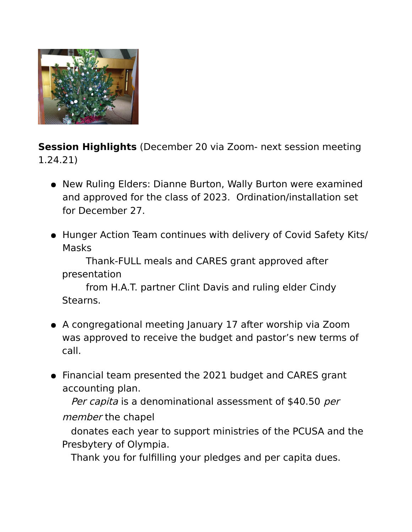

**Session Highlights** (December 20 via Zoom- next session meeting 1.24.21)

- New Ruling Elders: Dianne Burton, Wally Burton were examined and approved for the class of 2023. Ordination/installation set for December 27.
- Hunger Action Team continues with delivery of Covid Safety Kits/ Masks

Thank-FULL meals and CARES grant approved after presentation

from H.A.T. partner Clint Davis and ruling elder Cindy Stearns.

- A congregational meeting January 17 after worship via Zoom was approved to receive the budget and pastor's new terms of call.
- Financial team presented the 2021 budget and CARES grant accounting plan.

Per capita is a denominational assessment of \$40.50 per member the chapel

 donates each year to support ministries of the PCUSA and the Presbytery of Olympia.

Thank you for fulfilling your pledges and per capita dues.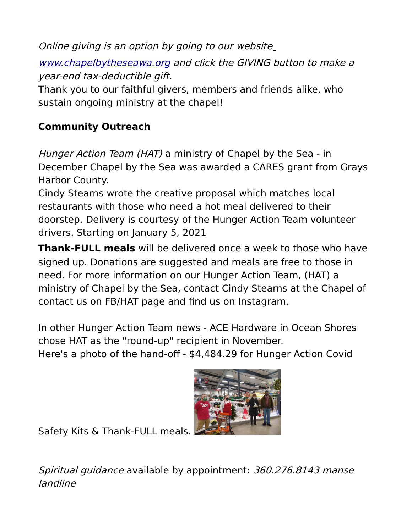Online giving is an option by going to our websit[e](http://www.chapelbytheseawa.org/) [www.chapelbytheseawa.org](http://www.chapelbytheseawa.org/) and click the GIVING button to make a year-end tax-deductible gift. Thank you to our faithful givers, members and friends alike, who

sustain ongoing ministry at the chapel!

## **Community Outreach**

Hunger Action Team (HAT) a ministry of Chapel by the Sea - in December Chapel by the Sea was awarded a CARES grant from Grays Harbor County.

Cindy Stearns wrote the creative proposal which matches local restaurants with those who need a hot meal delivered to their doorstep. Delivery is courtesy of the Hunger Action Team volunteer drivers. Starting on January 5, 2021

**Thank-FULL meals** will be delivered once a week to those who have signed up. Donations are suggested and meals are free to those in need. For more information on our Hunger Action Team, (HAT) a ministry of Chapel by the Sea, contact Cindy Stearns at the Chapel of contact us on FB/HAT page and find us on Instagram.

In other Hunger Action Team news - ACE Hardware in Ocean Shores chose HAT as the "round-up" recipient in November. Here's a photo of the hand-off - \$4,484.29 for Hunger Action Covid



Safety Kits & Thank-FULL meals.

Spiritual guidance available by appointment: 360.276.8143 manse landline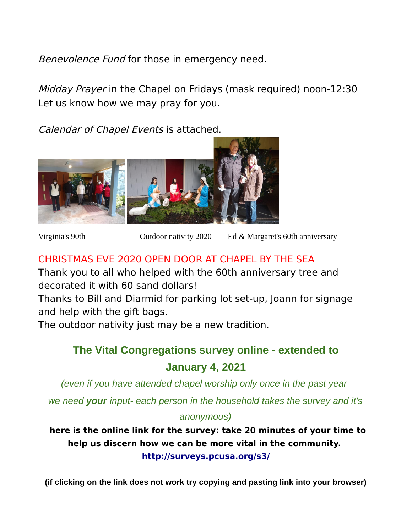Benevolence Fund for those in emergency need.

Midday Prayer in the Chapel on Fridays (mask required) noon-12:30 Let us know how we may pray for you.

Calendar of Chapel Events is attached.



Virginia's 90th Outdoor nativity 2020 Ed & Margaret's 60th anniversary

### CHRISTMAS EVE 2020 OPEN DOOR AT CHAPEL BY THE SEA

Thank you to all who helped with the 60th anniversary tree and decorated it with 60 sand dollars!

Thanks to Bill and Diarmid for parking lot set-up, Joann for signage and help with the gift bags.

The outdoor nativity just may be a new tradition.

## **The Vital Congregations survey online - extended to January 4, 2021**

*(even if you have attended chapel worship only once in the past year*

*we need your input- each person in the household takes the survey and it's*

#### *anonymous)*

**here is the online link for the survey: take 20 minutes of your time to help us discern how we can be more vital in the community. [http://surveys.pcusa.org/s3/](http://surveys.pcusa.org/s3/USCVS)**

**(if clicking on the link does not work try copying and pasting link into your browser)**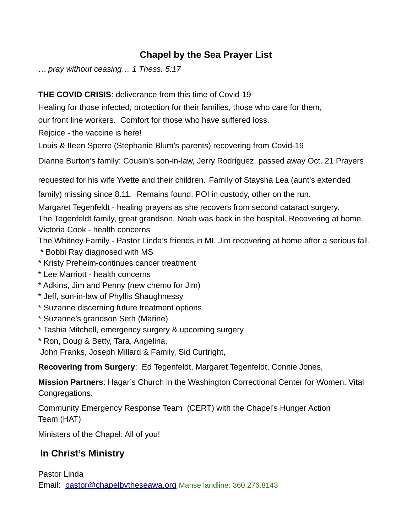### **Chapel by the Sea Prayer List**

… *pray without ceasing… 1 Thess. 5:17*

#### **THE COVID CRISIS**: deliverance from this time of Covid-19

Healing for those infected, protection for their families, those who care for them,

our front line workers. Comfort for those who have suffered loss.

Rejoice - the vaccine is here!

Louis & IIeen Sperre (Stephanie Blum's parents) recovering from Covid-19

Dianne Burton's family: Cousin's son-in-law, Jerry Rodriguez, passed away Oct. 21 Prayers

requested for his wife Yvette and their children. Family of Staysha Lea (aunt's extended

family) missing since 8.11. Remains found. POI in custody, other on the run.

Margaret Tegenfeldt - healing prayers as she recovers from second cataract surgery.

The Tegenfeldt family, great grandson, Noah was back in the hospital. Recovering at home. Victoria Cook - health concerns

The Whitney Family - Pastor Linda's friends in MI. Jim recovering at home after a serious fall.

- \* Bobbi Ray diagnosed with MS
- \* Kristy Preheim-continues cancer treatment
- \* Lee Marriott health concerns
- \* Adkins, Jim and Penny (new chemo for Jim)
- \* Jeff, son-in-law of Phyllis Shaughnessy
- \* Suzanne discerning future treatment options
- \* Suzanne's grandson Seth (Marine)
- \* Tashia Mitchell, emergency surgery & upcoming surgery
- \* Ron, Doug & Betty, Tara, Angelina,

John Franks, Joseph Millard & Family, Sid Curtright,

**Recovering from Surgery**: Ed Tegenfeldt, Margaret Tegenfeldt, Connie Jones,

**Mission Partners**: Hagar's Church in the Washington Correctional Center for Women. Vital Congregations.

Community Emergency Response Team (CERT) with the Chapel's Hunger Action Team (HAT)

Ministers of the Chapel: All of you!

### **In Christ's Ministry**

Pastor Linda Email: [pastor@chapelbytheseawa.org](mailto:pastor@chapelbytheseawa.org) Manse landline: 360.276.8143